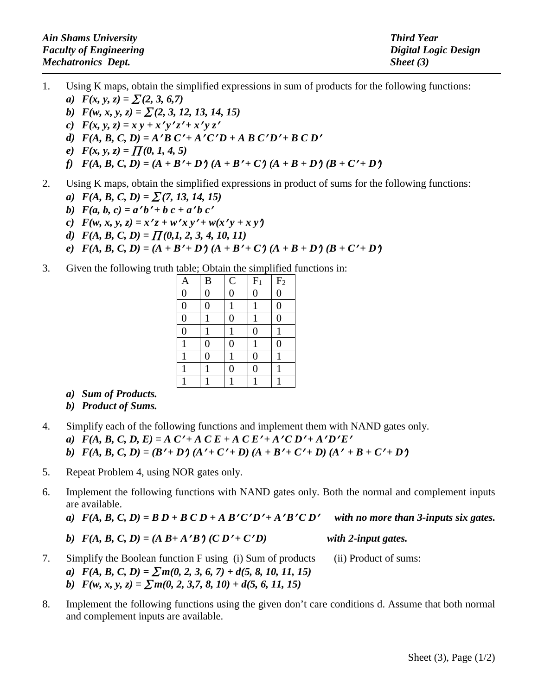| <b>Ain Shams University</b>   | <b>Third Year</b>    |
|-------------------------------|----------------------|
| <b>Faculty of Engineering</b> | Digital Logic Design |
| <b>Mechatronics Dept.</b>     | Sheet $(3)$          |

- 1. Using K maps, obtain the simplified expressions in sum of products for the following functions: *a*)  $F(x, y, z) = \sum (2, 3, 6, 7)$ 
	- *b*)  $F(w, x, y, z) = \sum (2, 3, 12, 13, 14, 15)$
	- *c*)  $F(x, y, z) = x y + x' y' z' + x' y z'$
	- *d)*  $F(A, B, C, D) = A'B'C' + A'C'D + A'B'C'D' + BCD'$
	- *e*)  $F(x, y, z) = \prod(0, 1, 4, 5)$
	- *f*)  $F(A, B, C, D) = (A + B' + D')(A + B' + C')(A + B + D')(B + C' + D')$
- 2. Using K maps, obtain the simplified expressions in product of sums for the following functions:
	- *a*)  $F(A, B, C, D) = \sum (7, 13, 14, 15)$
	- *b*)  $F(a, b, c) = a'b' + b c + a'b c'$
	- *c*)  $F(w, x, y, z) = x'z + w'xy' + w(x'y + xy')$
	- *d)*  $F(A, B, C, D) = \prod (0,1, 2, 3, 4, 10, 11)$
	- *e*)  $F(A, B, C, D) = (A + B' + D')(A + B' + C')(A + B + D')(B + C' + D')$
- 3. Given the following truth table; Obtain the simplified functions in:

|                |                  |                | $\mathbf{r}$   |                |
|----------------|------------------|----------------|----------------|----------------|
| $\mathbf{A}$   | $\bf{B}$         | $\mathcal{C}$  | $F_1$          | $\rm{F}_2$     |
| $\overline{0}$ | $\overline{0}$   | $\overline{0}$ | $\overline{0}$ | $\overline{0}$ |
| $\overline{0}$ | $\overline{0}$   | $\mathbf{1}$   | $\mathbf{1}$   | $\overline{0}$ |
| $\overline{0}$ |                  | $\overline{0}$ | 1              | $\overline{0}$ |
| $\overline{0}$ | 1                | 1              | $\overline{0}$ | 1              |
| $\mathbf{1}$   | $\boldsymbol{0}$ | $\overline{0}$ | 1              | $\overline{0}$ |
| $\mathbf{1}$   | $\overline{0}$   | 1              | $\overline{0}$ | 1              |
| $\mathbf{1}$   |                  | $\overline{0}$ | $\overline{0}$ | 1              |
| $\mathbf{1}$   |                  |                |                |                |
|                |                  |                |                |                |

- *a) Sum of Products.*
- *b) Product of Sums.*
- 4. Simplify each of the following functions and implement them with NAND gates only.
	- *a)*  $F(A, B, C, D, E) = A C' + A C E + A C E' + A' C D' + A' D' E'$
	- *b)*  $F(A, B, C, D) = (B' + D')(A' + C' + D)(A + B' + C' + D)(A' + B + C' + D')$
- 5. Repeat Problem 4, using NOR gates only.
- 6. Implement the following functions with NAND gates only. Both the normal and complement inputs are available.
	- *a)*  $F(A, B, C, D) = B D + B C D + A B'C'D' + A'B'C D'$  with no more than 3-inputs six gates.

b) 
$$
F(A, B, C, D) = (A B + A' B') (C D' + C' D)
$$
 with 2-input gates.

- 7. Simplify the Boolean function F using (i) Sum of products (ii) Product of sums: *a*)  $F(A, B, C, D) = \sum m(0, 2, 3, 6, 7) + d(5, 8, 10, 11, 15)$ *b*)  $F(w, x, y, z) = \sum m(0, 2, 3, 7, 8, 10) + d(5, 6, 11, 15)$
- 8. Implement the following functions using the given don't care conditions d. Assume that both normal and complement inputs are available.